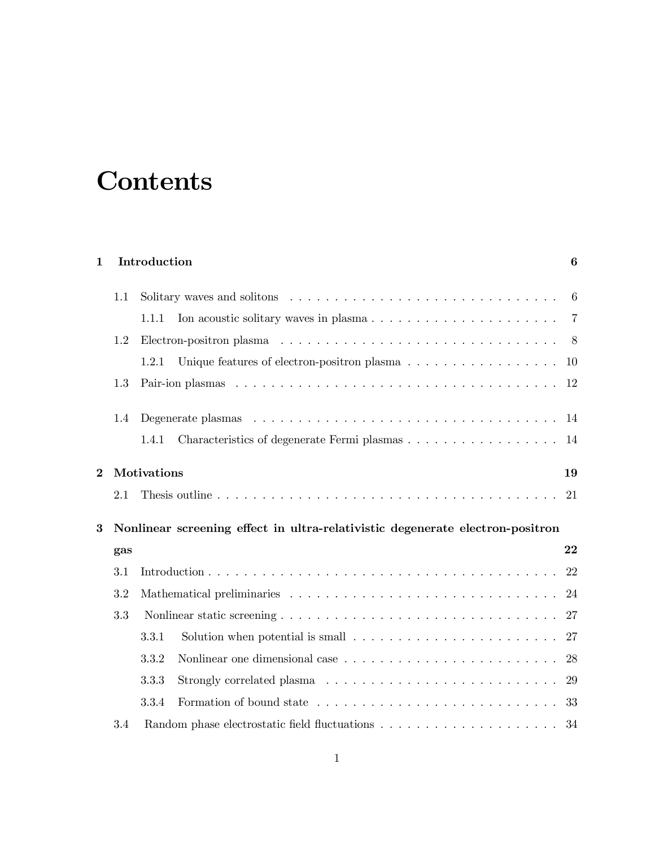## **Contents**

## 1 Introduction 6

|          | $1.1\,$ |                                                                                               | 6              |
|----------|---------|-----------------------------------------------------------------------------------------------|----------------|
|          |         | 1.1.1                                                                                         | $\overline{7}$ |
|          | 1.2     |                                                                                               |                |
|          |         | 1.2.1                                                                                         | <b>10</b>      |
|          | 1.3     |                                                                                               | 12             |
|          | 1.4     |                                                                                               | -14            |
|          |         | Characteristics of degenerate Fermi plasmas 14<br>1.4.1                                       |                |
| $\bf{2}$ |         | Motivations                                                                                   | 19             |
|          |         |                                                                                               |                |
|          | 2.1     |                                                                                               | 21             |
| 3        |         | Nonlinear screening effect in ultra-relativistic degenerate electron-positron                 |                |
|          | gas     |                                                                                               | 22             |
|          | 3.1     |                                                                                               | 22             |
|          | 3.2     |                                                                                               | 24             |
|          | 3.3     |                                                                                               | 27             |
|          |         | 3.3.1                                                                                         | 27             |
|          |         | 3.3.2                                                                                         | 28             |
|          |         | 3.3.3<br>Strongly correlated plasma $\ldots \ldots \ldots \ldots \ldots \ldots \ldots \ldots$ | 29             |
|          |         | 3.3.4                                                                                         | -33            |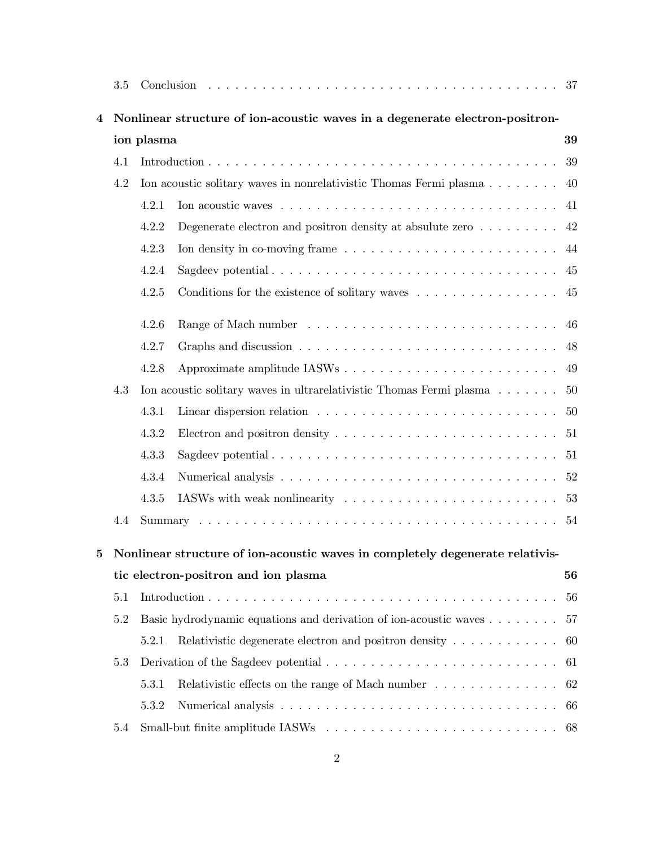|   | 3.5                                                                           |                                                                              |                                                                                        |    |  |  |  |  |  |
|---|-------------------------------------------------------------------------------|------------------------------------------------------------------------------|----------------------------------------------------------------------------------------|----|--|--|--|--|--|
| 4 |                                                                               | Nonlinear structure of ion-acoustic waves in a degenerate electron-positron- |                                                                                        |    |  |  |  |  |  |
|   |                                                                               | 39<br>ion plasma                                                             |                                                                                        |    |  |  |  |  |  |
|   | 4.1                                                                           |                                                                              |                                                                                        | 39 |  |  |  |  |  |
|   | 4.2                                                                           |                                                                              | Ion acoustic solitary waves in nonrelativistic Thomas Fermi plasma 40                  |    |  |  |  |  |  |
|   |                                                                               | 4.2.1                                                                        |                                                                                        |    |  |  |  |  |  |
|   |                                                                               | 4.2.2                                                                        | Degenerate electron and positron density at absulute zero $\dots \dots$ .              |    |  |  |  |  |  |
|   |                                                                               | 4.2.3                                                                        |                                                                                        |    |  |  |  |  |  |
|   |                                                                               | 4.2.4                                                                        |                                                                                        |    |  |  |  |  |  |
|   |                                                                               | 4.2.5                                                                        | Conditions for the existence of solitary waves $\ldots \ldots \ldots \ldots \ldots$ 45 |    |  |  |  |  |  |
|   |                                                                               | 4.2.6                                                                        |                                                                                        |    |  |  |  |  |  |
|   |                                                                               | 4.2.7                                                                        |                                                                                        |    |  |  |  |  |  |
|   |                                                                               | 4.2.8                                                                        |                                                                                        | 49 |  |  |  |  |  |
|   | 4.3                                                                           |                                                                              | Ion acoustic solitary waves in ultrarelativistic Thomas Fermi plasma 50                |    |  |  |  |  |  |
|   |                                                                               | 4.3.1                                                                        |                                                                                        |    |  |  |  |  |  |
|   |                                                                               | 4.3.2                                                                        |                                                                                        |    |  |  |  |  |  |
|   |                                                                               | 4.3.3                                                                        |                                                                                        |    |  |  |  |  |  |
|   |                                                                               | 4.3.4                                                                        |                                                                                        |    |  |  |  |  |  |
|   |                                                                               | 4.3.5                                                                        |                                                                                        |    |  |  |  |  |  |
|   | 4.4                                                                           |                                                                              |                                                                                        |    |  |  |  |  |  |
| 5 | Nonlinear structure of ion-acoustic waves in completely degenerate relativis- |                                                                              |                                                                                        |    |  |  |  |  |  |
|   |                                                                               |                                                                              | tic electron-positron and ion plasma                                                   | 56 |  |  |  |  |  |
|   | 5.1                                                                           |                                                                              |                                                                                        | 56 |  |  |  |  |  |
|   | 5.2                                                                           |                                                                              | Basic hydrodynamic equations and derivation of ion-acoustic waves                      | 57 |  |  |  |  |  |
|   |                                                                               | 5.2.1                                                                        | Relativistic degenerate electron and positron density $\dots \dots \dots \dots$ 60     |    |  |  |  |  |  |
|   | 5.3                                                                           |                                                                              |                                                                                        |    |  |  |  |  |  |
|   |                                                                               | 5.3.1                                                                        | Relativistic effects on the range of Mach number $\dots \dots \dots \dots \dots$ 62    |    |  |  |  |  |  |
|   |                                                                               | 5.3.2                                                                        |                                                                                        |    |  |  |  |  |  |
|   | 5.4                                                                           |                                                                              |                                                                                        |    |  |  |  |  |  |